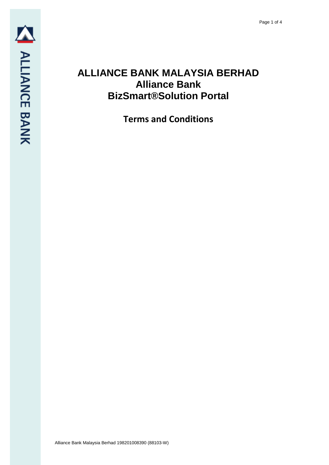## **ALLIANCE BANK MALAYSIA BERHAD Alliance Bank BizSmart®Solution Portal**

**Terms and Conditions**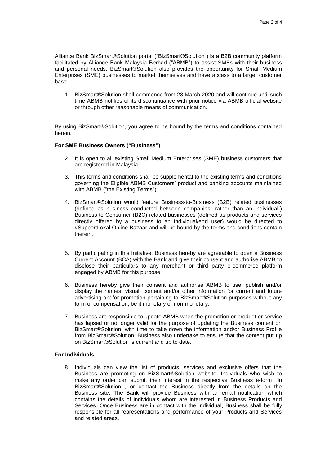Alliance Bank BizSmart®Solution portal ("BizSmart®Solution") is a B2B community platform facilitated by Alliance Bank Malaysia Berhad ("ABMB") to assist SMEs with their business and personal needs. BizSmart®Solution also provides the opportunity for Small Medium Enterprises (SME) businesses to market themselves and have access to a larger customer base.

1. BizSmart®Solution shall commence from 23 March 2020 and will continue until such time ABMB notifies of its discontinuance with prior notice via ABMB official website or through other reasonable means of communication.

By using BizSmart®Solution, you agree to be bound by the terms and conditions contained herein.

## **For SME Business Owners ("Business")**

- 2. It is open to all existing Small Medium Enterprises (SME) business customers that are registered in Malaysia.
- 3. This terms and conditions shall be supplemental to the existing terms and conditions governing the Eligible ABMB Customers' product and banking accounts maintained with ABMB ("the Existing Terms")
- 4. BizSmart®Solution would feature Business-to-Business (B2B) related businesses (defined as business conducted between companies, rather than an individual.) Business-to-Consumer (B2C) related businesses (defined as products and services directly offered by a business to an individual/end user) would be directed to #SupportLokal Online Bazaar and will be bound by the terms and conditions contain therein.
- 5. By participating in this Initiative, Business hereby are agreeable to open a Business Current Account (BCA) with the Bank and give their consent and authorise ABMB to disclose their particulars to any merchant or third party e-commerce platform engaged by ABMB for this purpose.
- 6. Business hereby give their consent and authorise ABMB to use, publish and/or display the names, visual, content and/or other information for current and future advertising and/or promotion pertaining to BizSmart®Solution purposes without any form of compensation, be it monetary or non-monetary.
- 7. Business are responsible to update ABMB when the promotion or product or service has lapsed or no longer valid for the purpose of updating the Business content on BizSmart®Solution; with time to take down the information and/or Business Profile from BizSmart®Solution. Business also undertake to ensure that the content put up on BizSmart®Solution is current and up to date.

## **For Individuals**

8. Individuals can view the list of products, services and exclusive offers that the Business are promoting on BizSmart®Solution website. Individuals who wish to make any order can submit their interest in the respective Business e-form in BizSmart®Solution , or contact the Business directly from the details on the Business site. The Bank will provide Business with an email notification which contains the details of individuals whom are interested in Business Products and Services. Once Business are in contact with the individual, Business shall be fully responsible for all representations and performance of your Products and Services and related areas.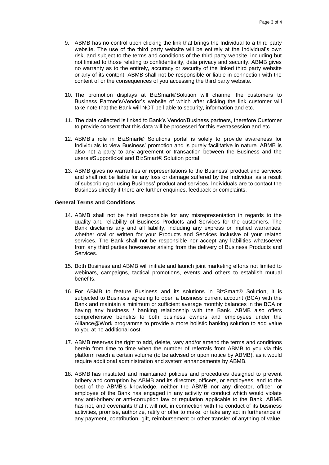- 9. ABMB has no control upon clicking the link that brings the Individual to a third party website. The use of the third party website will be entirely at the Individual's own risk, and subject to the terms and conditions of the third party website, including but not limited to those relating to confidentiality, data privacy and security. ABMB gives no warranty as to the entirely, accuracy or security of the linked third party website or any of its content. ABMB shall not be responsible or liable in connection with the content of or the consequences of you accessing the third party website.
- 10. The promotion displays at BizSmart®Solution will channel the customers to Business Partner's/Vendor's website of which after clicking the link customer will take note that the Bank will NOT be liable to security, information and etc.
- 11. The data collected is linked to Bank's Vendor/Business partners, therefore Customer to provide consent that this data will be processed for this event/session and etc.
- 12. ABMB's role in BizSmart® Solutions portal is solely to provide awareness for Individuals to view Business' promotion and is purely facilitative in nature. ABMB is also not a party to any agreement or transaction between the Business and the users #Supportlokal and BizSmart® Solution portal
- 13. ABMB gives no warranties or representations to the Business' product and services and shall not be liable for any loss or damage suffered by the Individual as a result of subscribing or using Business' product and services. Individuals are to contact the Business directly if there are further enquiries, feedback or complaints.

## **General Terms and Conditions**

- 14. ABMB shall not be held responsible for any misrepresentation in regards to the quality and reliability of Business Products and Services for the customers. The Bank disclaims any and all liability, including any express or implied warranties, whether oral or written for your Products and Services inclusive of your related services. The Bank shall not be responsible nor accept any liabilities whatsoever from any third parties howsoever arising from the delivery of Business Products and Services.
- 15. Both Business and ABMB will initiate and launch joint marketing efforts not limited to webinars, campaigns, tactical promotions, events and others to establish mutual benefits.
- 16. For ABMB to feature Business and its solutions in BizSmart® Solution, it is subjected to Business agreeing to open a business current account (BCA) with the Bank and maintain a minimum or sufficient average monthly balances in the BCA or having any business / banking relationship with the Bank. ABMB also offers comprehensive benefits to both business owners and employees under the Alliance@Work programme to provide a more holistic banking solution to add value to you at no additional cost.
- 17. ABMB reserves the right to add, delete, vary and/or amend the terms and conditions herein from time to time when the number of referrals from ABMB to you via this platform reach a certain volume (to be advised or upon notice by ABMB), as it would require additional administration and system enhancements by ABMB.
- 18. ABMB has instituted and maintained policies and procedures designed to prevent bribery and corruption by ABMB and its directors, officers, or employees; and to the best of the ABMB's knowledge, neither the ABMB nor any director, officer, or employee of the Bank has engaged in any activity or conduct which would violate any anti-bribery or anti-corruption law or regulation applicable to the Bank. ABMB has not, and covenants that it will not, in connection with the conduct of its business activities, promise, authorize, ratify or offer to make, or take any act in furtherance of any payment, contribution, gift, reimbursement or other transfer of anything of value,